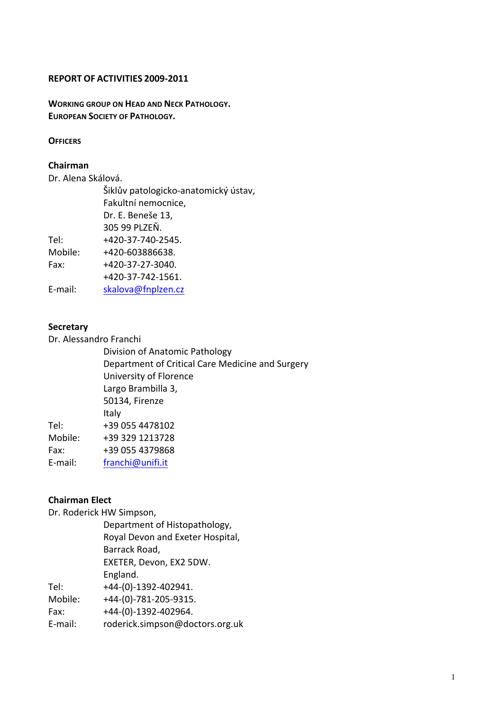#### **REPORT OF ACTIVITIES 2009-2011**

**WORKING GROUP ON HEAD AND NECK PATHOLOGY. EUROPEAN SOCIETY OF PATHOLOGY.** 

#### **OFFICERS**

#### **Chairman**

Dr. Alena Skálová.

Šiklův patologicko-anatomický ústav, Fakultní nemocnice, Dr. E. Beneše 13, 305 99 PLZEŇ. Tel: +420-37-740-2545. Mobile: +420-603886638. Fax: +420-37-27-3040. +420-37-742-1561. E-mail: skalova@fnplzen.cz

## **Secretary**

Dr. Alessandro Franchi

Division of Anatomic Pathology Department of Critical Care Medicine and Surgery University of Florence Largo Brambilla 3, 50134, Firenze Italy Tel: +39 055 4478102 Mobile: +39 329 1213728 Fax: +39 055 4379868 E-mail: franchi@unifi.it

## **Chairman Elect**

Dr. Roderick HW Simpson,

|         | Department of Histopathology,    |
|---------|----------------------------------|
|         | Royal Devon and Exeter Hospital, |
|         | Barrack Road,                    |
|         | EXETER, Devon, EX2 5DW.          |
|         | England.                         |
| Tel:    | +44-(0)-1392-402941.             |
| Mobile: | +44-(0)-781-205-9315.            |
| Fax:    | +44-(0)-1392-402964.             |
| E-mail: | roderick.simpson@doctors.org.uk  |
|         |                                  |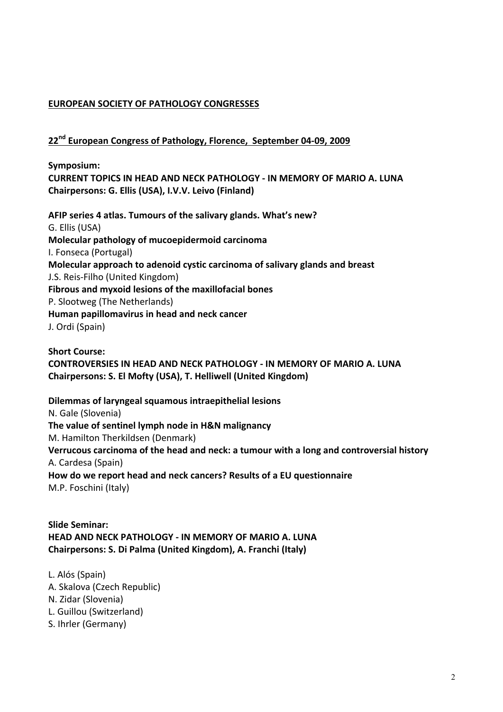## **EUROPEAN SOCIETY OF PATHOLOGY CONGRESSES**

## **22nd European Congress of Pathology, Florence, September 04-09, 2009**

**Symposium: CURRENT TOPICS IN HEAD AND NECK PATHOLOGY - IN MEMORY OF MARIO A. LUNA** Chairpersons: G. Ellis (USA), I.V.V. Leivo (Finland)

AFIP series 4 atlas. Tumours of the salivary glands. What's new? G. Ellis (USA) **Molecular pathology of mucoepidermoid carcinoma** I. Fonseca (Portugal) **Molecular approach to adenoid cystic carcinoma of salivary glands and breast** J.S. Reis-Filho (United Kingdom) Fibrous and myxoid lesions of the maxillofacial bones P. Slootweg (The Netherlands) Human papillomavirus in head and neck cancer J. Ordi (Spain)

**Short Course: CONTROVERSIES IN HEAD AND NECK PATHOLOGY - IN MEMORY OF MARIO A. LUNA Chairpersons: S. El Mofty (USA), T. Helliwell (United Kingdom)** 

**Dilemmas of laryngeal squamous intraepithelial lesions** N. Gale (Slovenia) The value of sentinel lymph node in H&N malignancy M. Hamilton Therkildsen (Denmark) Verrucous carcinoma of the head and neck: a tumour with a long and controversial history A. Cardesa (Spain) How do we report head and neck cancers? Results of a EU questionnaire M.P. Foschini (Italy)

**Slide Seminar: HEAD AND NECK PATHOLOGY - IN MEMORY OF MARIO A. LUNA Chairpersons: S. Di Palma (United Kingdom), A. Franchi (Italy)** 

- L. Alós (Spain) A. Skalova (Czech Republic) N. Zidar (Slovenia) L. Guillou (Switzerland)
- S. Ihrler (Germany)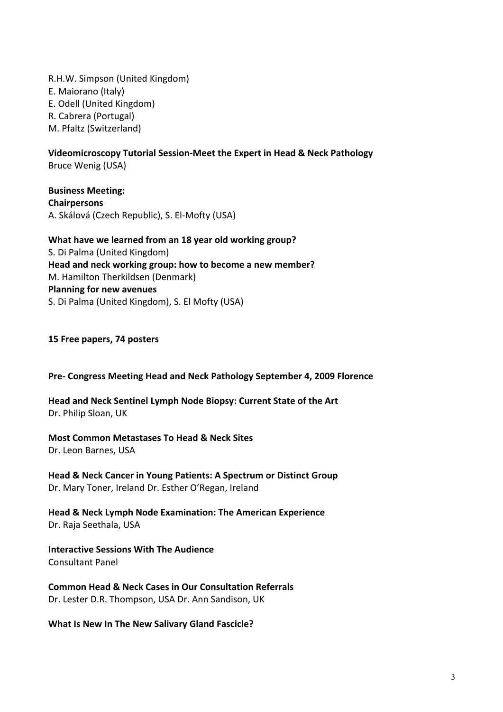R.H.W. Simpson (United Kingdom) E. Maiorano (Italy) E. Odell (United Kingdom) R. Cabrera (Portugal) M. Pfaltz (Switzerland)

**Videomicroscopy Tutorial Session-Meet the Expert in Head & Neck Pathology** Bruce Wenig (USA)

**Business Meeting: Chairpersons** A. Skálová (Czech Republic), S. El-Mofty (USA)

**What have we learned from an 18 year old working group?** S. Di Palma (United Kingdom) Head and neck working group: how to become a new member? M. Hamilton Therkildsen (Denmark) **Planning for new avenues** S. Di Palma (United Kingdom), S. El Mofty (USA)

**15 Free papers, 74 posters**

**Pre- Congress Meeting Head and Neck Pathology September 4, 2009 Florence**

Head and Neck Sentinel Lymph Node Biopsy: Current State of the Art Dr. Philip Sloan, UK

**Most Common Metastases To Head & Neck Sites** 

Dr. Leon Barnes, USA

**Head & Neck Cancer in Young Patients: A Spectrum or Distinct Group** Dr. Mary Toner, Ireland Dr. Esther O'Regan, Ireland

**Head & Neck Lymph Node Examination: The American Experience** Dr. Raja Seethala, USA

**Interactive Sessions With The Audience** Consultant Panel

**Common Head & Neck Cases in Our Consultation Referrals** Dr. Lester D.R. Thompson, USA Dr. Ann Sandison, UK

**What Is New In The New Salivary Gland Fascicle?**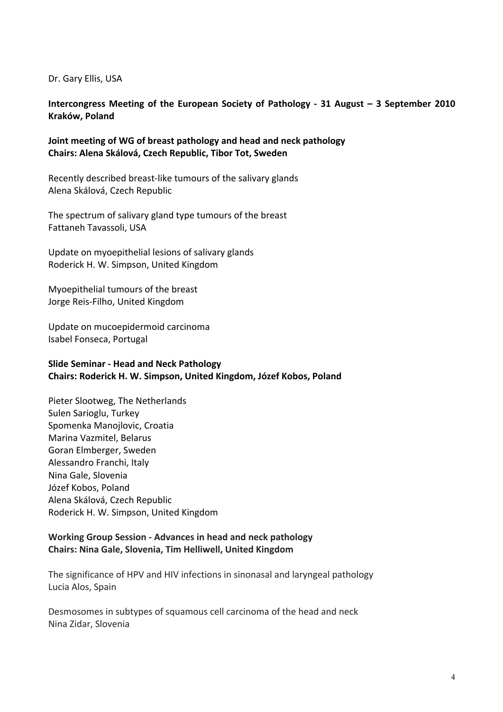Dr. Gary Ellis, USA

**Intercongress Meeting of the European Society of Pathology - 31 August – 3 September 2010 Kraków, Poland**

**Joint meeting of WG of breast pathology and head and neck pathology Chairs: Alena Skálová, Czech Republic, Tibor Tot, Sweden**

Recently described breast-like tumours of the salivary glands Alena Skálová, Czech Republic

The spectrum of salivary gland type tumours of the breast Fattaneh Tavassoli, USA

Update on myoepithelial lesions of salivary glands Roderick H. W. Simpson, United Kingdom

Myoepithelial tumours of the breast Jorge Reis-Filho, United Kingdom

Update on mucoepidermoid carcinoma Isabel Fonseca, Portugal

## **Slide Seminar - Head and Neck Pathology Chairs: Roderick H. W. Simpson, United Kingdom, Józef Kobos, Poland**

Pieter Slootweg, The Netherlands Sulen Sarioglu, Turkey Spomenka Manojlovic, Croatia Marina Vazmitel, Belarus Goran Elmberger, Sweden Alessandro Franchi, Italy Nina Gale, Slovenia Józef Kobos, Poland Alena Skálová, Czech Republic Roderick H. W. Simpson, United Kingdom

## **Working Group Session - Advances in head and neck pathology Chairs: Nina Gale, Slovenia, Tim Helliwell, United Kingdom**

The significance of HPV and HIV infections in sinonasal and laryngeal pathology Lucia Alos, Spain

Desmosomes in subtypes of squamous cell carcinoma of the head and neck Nina Zidar, Slovenia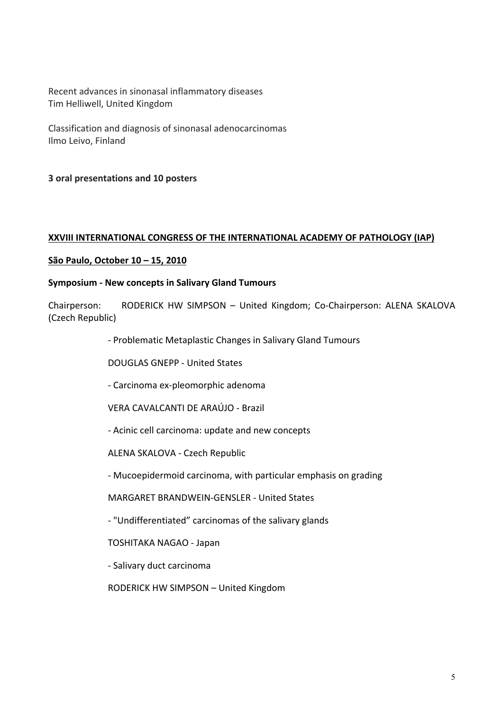Recent advances in sinonasal inflammatory diseases Tim Helliwell, United Kingdom

Classification and diagnosis of sinonasal adenocarcinomas Ilmo Leivo, Finland

**3 oral presentations and 10 posters**

## **XXVIII INTERNATIONAL CONGRESS OF THE INTERNATIONAL ACADEMY OF PATHOLOGY (IAP)**

## **São Paulo, October 10 – 15, 2010**

## **Symposium - New concepts in Salivary Gland Tumours**

Chairperson: RODERICK HW SIMPSON - United Kingdom; Co-Chairperson: ALENA SKALOVA (Czech Republic)

- Problematic Metaplastic Changes in Salivary Gland Tumours

DOUGLAS GNEPP - United States

- Carcinoma ex-pleomorphic adenoma
- VERA CAVALCANTI DE ARAÚJO Brazil
- Acinic cell carcinoma: update and new concepts
- ALENA SKALOVA Czech Republic

- Mucoepidermoid carcinoma, with particular emphasis on grading

MARGARET BRANDWEIN-GENSLER - United States

- "Undifferentiated" carcinomas of the salivary glands

TOSHITAKA NAGAO - Japan

- Salivary duct carcinoma

RODERICK HW SIMPSON - United Kingdom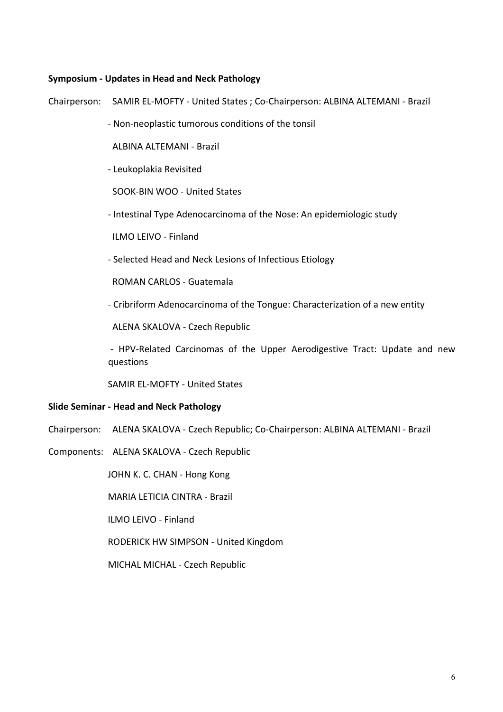#### **Symposium - Updates in Head and Neck Pathology**

Chairperson: SAMIR EL-MOFTY - United States ; Co-Chairperson: ALBINA ALTEMANI - Brazil

- Non-neoplastic tumorous conditions of the tonsil

ALBINA ALTEMANI - Brazil

- Leukoplakia Revisited

SOOK-BIN WOO - United States

- Intestinal Type Adenocarcinoma of the Nose: An epidemiologic study

ILMO LEIVO - Finland

- Selected Head and Neck Lesions of Infectious Etiology

ROMAN CARLOS - Guatemala

- Cribriform Adenocarcinoma of the Tongue: Characterization of a new entity

ALENA SKALOVA - Czech Republic

- HPV-Related Carcinomas of the Upper Aerodigestive Tract: Update and new questions

SAMIR EL-MOFTY - United States

#### **Slide Seminar - Head and Neck Pathology**

- Chairperson: ALENA SKALOVA Czech Republic; Co-Chairperson: ALBINA ALTEMANI Brazil
- Components: ALENA SKALOVA Czech Republic

JOHN K. C. CHAN - Hong Kong

MARIA LETICIA CINTRA - Brazil

ILMO LEIVO - Finland

RODERICK HW SIMPSON - United Kingdom

MICHAL MICHAL - Czech Republic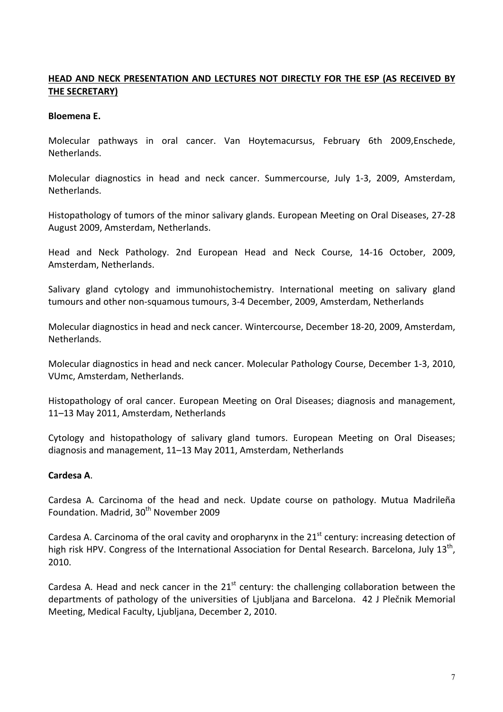# HEAD AND NECK PRESENTATION AND LECTURES NOT DIRECTLY FOR THE ESP (AS RECEIVED BY **THE SECRETARY)**

## **Bloemena** E.

Molecular pathways in oral cancer. Van Hoytemacursus, February 6th 2009,Enschede, Netherlands.

Molecular diagnostics in head and neck cancer. Summercourse, July 1-3, 2009, Amsterdam, Netherlands.

Histopathology of tumors of the minor salivary glands. European Meeting on Oral Diseases, 27-28 August 2009, Amsterdam, Netherlands.

Head and Neck Pathology. 2nd European Head and Neck Course, 14-16 October, 2009, Amsterdam, Netherlands.

Salivary gland cytology and immunohistochemistry. International meeting on salivary gland tumours and other non-squamous tumours, 3-4 December, 2009, Amsterdam, Netherlands

Molecular diagnostics in head and neck cancer. Wintercourse, December 18-20, 2009, Amsterdam, Netherlands.

Molecular diagnostics in head and neck cancer. Molecular Pathology Course, December 1-3, 2010, VUmc, Amsterdam, Netherlands.

Histopathology of oral cancer. European Meeting on Oral Diseases; diagnosis and management, 11-13 May 2011, Amsterdam, Netherlands

Cytology and histopathology of salivary gland tumors. European Meeting on Oral Diseases; diagnosis and management, 11–13 May 2011, Amsterdam, Netherlands

# **Cardesa A**.

Cardesa A. Carcinoma of the head and neck. Update course on pathology. Mutua Madrileña Foundation. Madrid, 30<sup>th</sup> November 2009

Cardesa A. Carcinoma of the oral cavity and oropharynx in the  $21<sup>st</sup>$  century: increasing detection of high risk HPV. Congress of the International Association for Dental Research. Barcelona, July 13<sup>th</sup>, 2010.

Cardesa A. Head and neck cancer in the  $21<sup>st</sup>$  century: the challenging collaboration between the departments of pathology of the universities of Liubliana and Barcelona. 42 J Plečnik Memorial Meeting, Medical Faculty, Liubliana, December 2, 2010.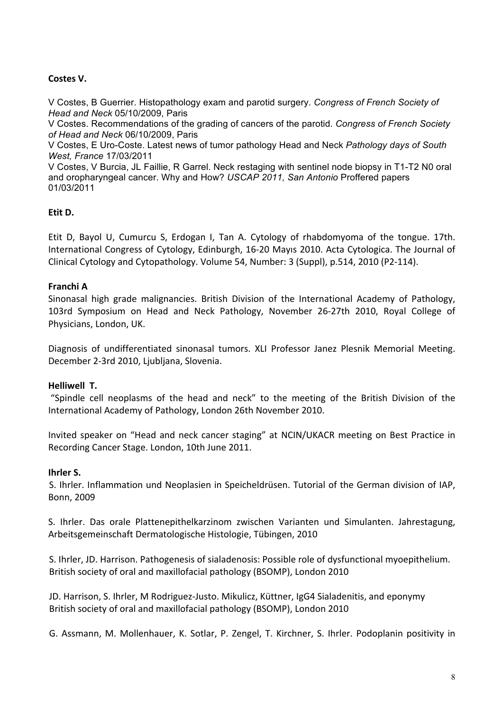# Costes V.

V Costes, B Guerrier. Histopathology exam and parotid surgery. *Congress of French Society of Head and Neck* 05/10/2009, Paris

V Costes. Recommendations of the grading of cancers of the parotid. *Congress of French Society of Head and Neck* 06/10/2009, Paris

V Costes, E Uro-Coste. Latest news of tumor pathology Head and Neck *Pathology days of South West, France* 17/03/2011

V Costes, V Burcia, JL Faillie, R Garrel. Neck restaging with sentinel node biopsy in T1-T2 N0 oral and oropharyngeal cancer. Why and How? *USCAP 2011, San Antonio* Proffered papers 01/03/2011

## **Etit D.**

Etit D, Bayol U, Cumurcu S, Erdogan I, Tan A. Cytology of rhabdomyoma of the tongue. 17th. International Congress of Cytology, Edinburgh, 16-20 Mayıs 2010. Acta Cytologica. The Journal of Clinical Cytology and Cytopathology. Volume 54, Number: 3 (Suppl), p.514, 2010 (P2-114).

## **Franchi A**

Sinonasal high grade malignancies. British Division of the International Academy of Pathology, 103rd Symposium on Head and Neck Pathology, November 26-27th 2010, Royal College of Physicians, London, UK.

Diagnosis of undifferentiated sinonasal tumors. XLI Professor Janez Plesnik Memorial Meeting. December 2-3rd 2010, Liubliana, Slovenia.

## **Helliwell T.**

"Spindle cell neoplasms of the head and neck" to the meeting of the British Division of the International Academy of Pathology, London 26th November 2010.

Invited speaker on "Head and neck cancer staging" at NCIN/UKACR meeting on Best Practice in Recording Cancer Stage. London, 10th June 2011.

## **Ihrler** S.

S. Ihrler. Inflammation und Neoplasien in Speicheldrüsen. Tutorial of the German division of IAP, Bonn, 2009

S. Ihrler. Das orale Plattenepithelkarzinom zwischen Varianten und Simulanten. Jahrestagung, Arbeitsgemeinschaft Dermatologische Histologie, Tübingen, 2010

S. Ihrler, JD. Harrison. Pathogenesis of sialadenosis: Possible role of dysfunctional myoepithelium. British society of oral and maxillofacial pathology (BSOMP), London 2010

JD. Harrison, S. Ihrler, M Rodriguez-Justo. Mikulicz, Küttner, IgG4 Sialadenitis, and eponymy British society of oral and maxillofacial pathology (BSOMP), London 2010

G. Assmann, M. Mollenhauer, K. Sotlar, P. Zengel, T. Kirchner, S. Ihrler. Podoplanin positivity in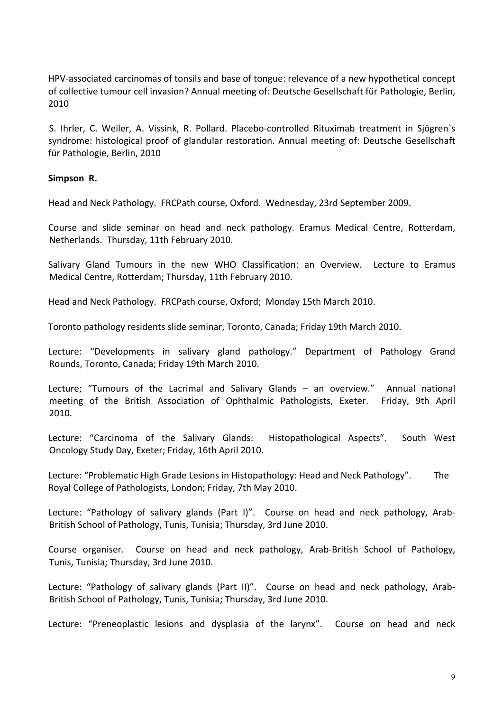HPV-associated carcinomas of tonsils and base of tongue: relevance of a new hypothetical concept of collective tumour cell invasion? Annual meeting of: Deutsche Gesellschaft für Pathologie, Berlin, 2010

S. Ihrler, C. Weiler, A. Vissink, R. Pollard. Placebo-controlled Rituximab treatment in Sjögren's syndrome: histological proof of glandular restoration. Annual meeting of: Deutsche Gesellschaft für Pathologie, Berlin, 2010

## **Simpson R.**

Head and Neck Pathology. FRCPath course, Oxford. Wednesday, 23rd September 2009.

Course and slide seminar on head and neck pathology. Eramus Medical Centre, Rotterdam, Netherlands. Thursday, 11th February 2010.

Salivary Gland Tumours in the new WHO Classification: an Overview. Lecture to Eramus Medical Centre, Rotterdam; Thursday, 11th February 2010.

Head and Neck Pathology. FRCPath course, Oxford: Monday 15th March 2010.

Toronto pathology residents slide seminar, Toronto, Canada; Friday 19th March 2010.

Lecture: "Developments in salivary gland pathology." Department of Pathology Grand Rounds, Toronto, Canada; Fridav 19th March 2010.

Lecture; "Tumours of the Lacrimal and Salivary Glands – an overview." Annual national meeting of the British Association of Ophthalmic Pathologists, Exeter. Friday, 9th April 2010.

Lecture: "Carcinoma of the Salivary Glands: Histopathological Aspects". South West Oncology Study Day, Exeter; Friday, 16th April 2010.

Lecture: "Problematic High Grade Lesions in Histopathology: Head and Neck Pathology". The Royal College of Pathologists, London; Friday, 7th May 2010.

Lecture: "Pathology of salivary glands (Part I)". Course on head and neck pathology, Arab-British School of Pathology, Tunis, Tunisia; Thursday, 3rd June 2010.

Course organiser. Course on head and neck pathology, Arab-British School of Pathology, Tunis, Tunisia; Thursday, 3rd June 2010.

Lecture: "Pathology of salivary glands (Part II)". Course on head and neck pathology, Arab-British School of Pathology, Tunis, Tunisia; Thursday, 3rd June 2010.

Lecture: "Preneoplastic lesions and dysplasia of the larynx". Course on head and neck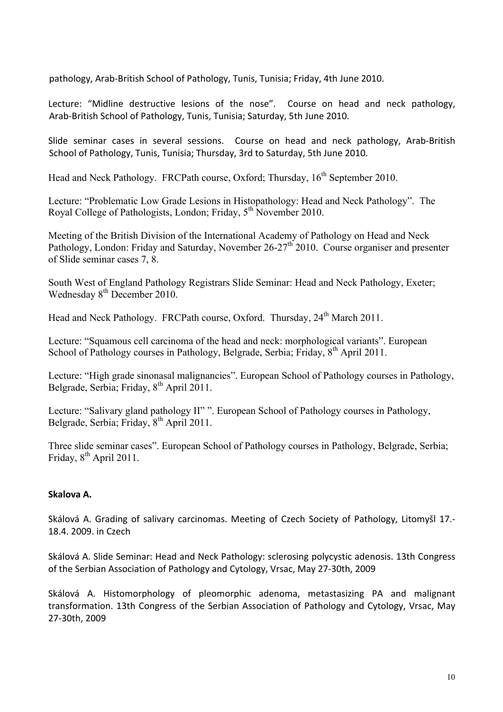pathology, Arab-British School of Pathology, Tunis, Tunisia; Friday, 4th June 2010.

Lecture: "Midline destructive lesions of the nose". Course on head and neck pathology, Arab-British School of Pathology, Tunis, Tunisia; Saturday, 5th June 2010.

Slide seminar cases in several sessions. Course on head and neck pathology, Arab-British School of Pathology, Tunis, Tunisia; Thursday, 3rd to Saturday, 5th June 2010.

Head and Neck Pathology. FRCPath course, Oxford; Thursday,  $16^{th}$  September 2010.

Lecture: "Problematic Low Grade Lesions in Histopathology: Head and Neck Pathology". The Royal College of Pathologists, London: Friday,  $5<sup>th</sup>$  November 2010.

Meeting of the British Division of the International Academy of Pathology on Head and Neck Pathology, London: Friday and Saturday, November  $26-27<sup>th</sup>$  2010. Course organiser and presenter of Slide seminar cases 7, 8.

South West of England Pathology Registrars Slide Seminar: Head and Neck Pathology, Exeter; Wednesday 8<sup>th</sup> December 2010.

Head and Neck Pathology. FRCPath course, Oxford. Thursday, 24<sup>th</sup> March 2011.

Lecture: "Squamous cell carcinoma of the head and neck: morphological variants". European School of Pathology courses in Pathology, Belgrade, Serbia; Friday,  $8<sup>th</sup>$  April 2011.

Lecture: "High grade sinonasal malignancies". European School of Pathology courses in Pathology, Belgrade, Serbia; Friday, 8<sup>th</sup> April 2011.

Lecture: "Salivary gland pathology II" ". European School of Pathology courses in Pathology, Belgrade, Serbia; Friday, 8<sup>th</sup> April 2011.

Three slide seminar cases". European School of Pathology courses in Pathology, Belgrade, Serbia; Friday, 8<sup>th</sup> April 2011.

# Skalova A.

Skálová A. Grading of salivary carcinomas. Meeting of Czech Society of Pathology, Litomyšl 17.-18.4. 2009. in Czech

Skálová A. Slide Seminar: Head and Neck Pathology: sclerosing polycystic adenosis. 13th Congress of the Serbian Association of Pathology and Cytology, Vrsac, May 27-30th, 2009

Skálová A. Histomorphology of pleomorphic adenoma, metastasizing PA and malignant transformation. 13th Congress of the Serbian Association of Pathology and Cytology, Vrsac, May 27-30th, 2009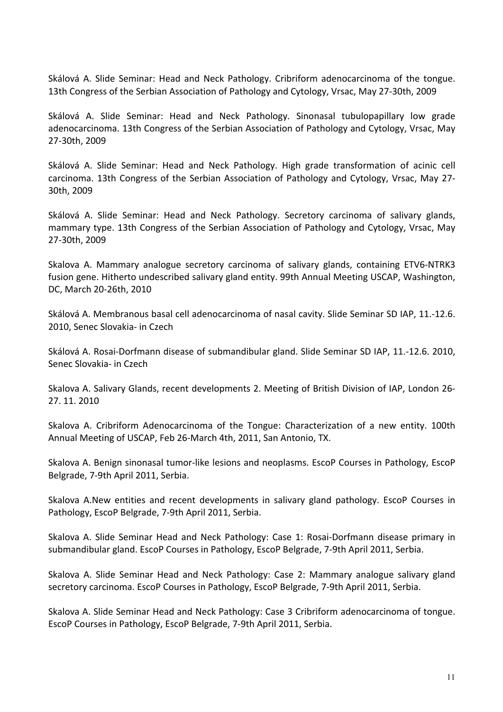Skálová A. Slide Seminar: Head and Neck Pathology. Cribriform adenocarcinoma of the tongue. 13th Congress of the Serbian Association of Pathology and Cytology, Vrsac, May 27-30th, 2009

Skálová A. Slide Seminar: Head and Neck Pathology. Sinonasal tubulopapillary low grade adenocarcinoma. 13th Congress of the Serbian Association of Pathology and Cytology, Vrsac, May 27-30th, 2009

Skálová A. Slide Seminar: Head and Neck Pathology. High grade transformation of acinic cell carcinoma. 13th Congress of the Serbian Association of Pathology and Cytology, Vrsac, May 27-30th, 2009

Skálová A. Slide Seminar: Head and Neck Pathology. Secretory carcinoma of salivary glands, mammary type. 13th Congress of the Serbian Association of Pathology and Cytology, Vrsac, May 27-30th, 2009

Skalova A. Mammary analogue secretory carcinoma of salivary glands, containing ETV6-NTRK3 fusion gene. Hitherto undescribed salivary gland entity. 99th Annual Meeting USCAP, Washington, DC, March 20-26th, 2010

Skálová A. Membranous basal cell adenocarcinoma of nasal cavity. Slide Seminar SD IAP, 11.-12.6. 2010, Senec Slovakia- in Czech

Skálová A. Rosai-Dorfmann disease of submandibular gland. Slide Seminar SD IAP, 11.-12.6. 2010, Senec Slovakia- in Czech

Skalova A. Salivary Glands, recent developments 2. Meeting of British Division of IAP, London 26-27. 11. 2010

Skalova A. Cribriform Adenocarcinoma of the Tongue: Characterization of a new entity. 100th Annual Meeting of USCAP, Feb 26-March 4th, 2011, San Antonio, TX.

Skalova A. Benign sinonasal tumor-like lesions and neoplasms. EscoP Courses in Pathology, EscoP Belgrade, 7-9th April 2011, Serbia.

Skalova A.New entities and recent developments in salivary gland pathology. EscoP Courses in Pathology, EscoP Belgrade, 7-9th April 2011, Serbia.

Skalova A. Slide Seminar Head and Neck Pathology: Case 1: Rosai-Dorfmann disease primary in submandibular gland. EscoP Courses in Pathology, EscoP Belgrade, 7-9th April 2011, Serbia.

Skalova A. Slide Seminar Head and Neck Pathology: Case 2: Mammary analogue salivary gland secretory carcinoma. EscoP Courses in Pathology, EscoP Belgrade, 7-9th April 2011, Serbia.

Skalova A. Slide Seminar Head and Neck Pathology: Case 3 Cribriform adenocarcinoma of tongue. EscoP Courses in Pathology, EscoP Belgrade, 7-9th April 2011, Serbia.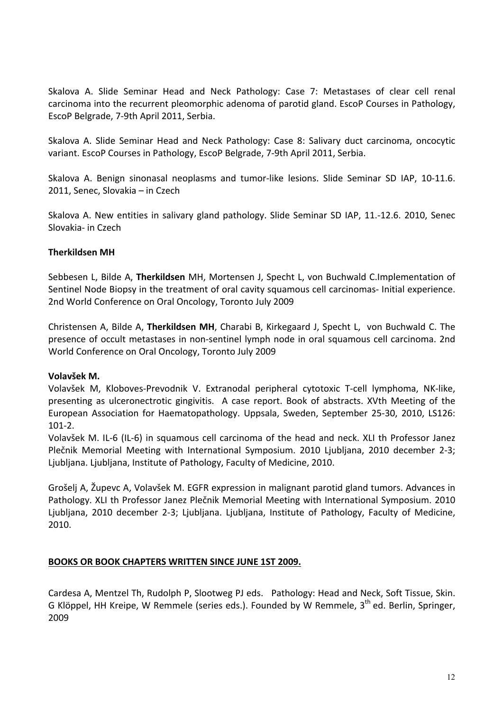Skalova A. Slide Seminar Head and Neck Pathology: Case 7: Metastases of clear cell renal carcinoma into the recurrent pleomorphic adenoma of parotid gland. EscoP Courses in Pathology, EscoP Belgrade, 7-9th April 2011, Serbia.

Skalova A. Slide Seminar Head and Neck Pathology: Case 8: Salivary duct carcinoma, oncocytic variant. EscoP Courses in Pathology, EscoP Belgrade, 7-9th April 2011, Serbia.

Skalova A. Benign sinonasal neoplasms and tumor-like lesions. Slide Seminar SD IAP, 10-11.6. 2011, Senec, Slovakia – in Czech

Skalova A. New entities in salivary gland pathology. Slide Seminar SD IAP, 11.-12.6. 2010, Senec Slovakia- in Czech 

# **Therkildsen MH**

Sebbesen L, Bilde A, Therkildsen MH, Mortensen J, Specht L, von Buchwald C.Implementation of Sentinel Node Biopsy in the treatment of oral cavity squamous cell carcinomas- Initial experience. 2nd World Conference on Oral Oncology, Toronto July 2009

Christensen A, Bilde A, Therkildsen MH, Charabi B, Kirkegaard J, Specht L, von Buchwald C. The presence of occult metastases in non-sentinel lymph node in oral squamous cell carcinoma. 2nd World Conference on Oral Oncology, Toronto July 2009

## **Volavšek M.**

Volavšek M, Kloboves-Prevodnik V. Extranodal peripheral cytotoxic T-cell lymphoma, NK-like, presenting as ulceronectrotic gingivitis. A case report. Book of abstracts. XVth Meeting of the European Association for Haematopathology. Uppsala, Sweden, September 25-30, 2010, LS126: 101-2.

Volavšek M. IL-6 (IL-6) in squamous cell carcinoma of the head and neck. XLI th Professor Janez Plečnik Memorial Meeting with International Symposium. 2010 Ljubljana, 2010 december 2-3; Ljubljana. Ljubljana, Institute of Pathology, Faculty of Medicine, 2010.

Grošelj A, Župevc A, Volavšek M. EGFR expression in malignant parotid gland tumors. Advances in Pathology. XLI th Professor Janez Plečnik Memorial Meeting with International Symposium. 2010 Ljubljana, 2010 december 2-3; Ljubljana. Ljubljana, Institute of Pathology, Faculty of Medicine, 2010. 

# **BOOKS OR BOOK CHAPTERS WRITTEN SINCE JUNE 1ST 2009.**

Cardesa A, Mentzel Th, Rudolph P, Slootweg PJ eds. Pathology: Head and Neck, Soft Tissue, Skin. G Klöppel, HH Kreipe, W Remmele (series eds.). Founded by W Remmele,  $3<sup>th</sup>$  ed. Berlin, Springer. 2009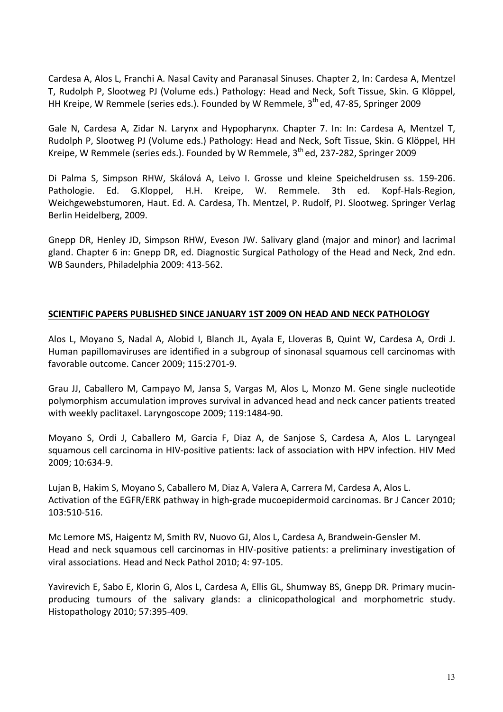Cardesa A, Alos L, Franchi A. Nasal Cavity and Paranasal Sinuses. Chapter 2, In: Cardesa A, Mentzel T, Rudolph P, Slootweg PJ (Volume eds.) Pathology: Head and Neck, Soft Tissue, Skin. G Klöppel, HH Kreipe, W Remmele (series eds.). Founded by W Remmele,  $3<sup>th</sup>$  ed, 47-85, Springer 2009

Gale N, Cardesa A, Zidar N. Larynx and Hypopharynx. Chapter 7. In: In: Cardesa A, Mentzel T, Rudolph P, Slootweg PJ (Volume eds.) Pathology: Head and Neck, Soft Tissue, Skin. G Klöppel, HH Kreipe, W Remmele (series eds.). Founded by W Remmele,  $3<sup>th</sup>$  ed, 237-282, Springer 2009

Di Palma S, Simpson RHW, Skálová A, Leivo I. Grosse und kleine Speicheldrusen ss. 159-206. Pathologie. Ed. G.Kloppel, H.H. Kreipe, W. Remmele. 3th ed. Kopf-Hals-Region, Weichgewebstumoren, Haut. Ed. A. Cardesa, Th. Mentzel, P. Rudolf, PJ. Slootweg. Springer Verlag Berlin Heidelberg, 2009.

Gnepp DR, Henley JD, Simpson RHW, Eveson JW. Salivary gland (major and minor) and lacrimal gland. Chapter 6 in: Gnepp DR, ed. Diagnostic Surgical Pathology of the Head and Neck, 2nd edn. WB Saunders, Philadelphia 2009: 413-562.

## **SCIENTIFIC PAPERS PUBLISHED SINCE JANUARY 1ST 2009 ON HEAD AND NECK PATHOLOGY**

Alos L, Moyano S, Nadal A, Alobid I, Blanch JL, Ayala E, Lloveras B, Quint W, Cardesa A, Ordi J. Human papillomaviruses are identified in a subgroup of sinonasal squamous cell carcinomas with favorable outcome. Cancer 2009; 115:2701-9.

Grau JJ, Caballero M, Campayo M, Jansa S, Vargas M, Alos L, Monzo M. Gene single nucleotide polymorphism accumulation improves survival in advanced head and neck cancer patients treated with weekly paclitaxel. Laryngoscope 2009; 119:1484-90.

Moyano S, Ordi J, Caballero M, Garcia F, Diaz A, de Sanjose S, Cardesa A, Alos L. Laryngeal squamous cell carcinoma in HIV-positive patients: lack of association with HPV infection. HIV Med 2009; 10:634-9.

Lujan B, Hakim S, Moyano S, Caballero M, Diaz A, Valera A, Carrera M, Cardesa A, Alos L. Activation of the EGFR/ERK pathway in high-grade mucoepidermoid carcinomas. Br J Cancer 2010; 103:510-516.

Mc Lemore MS, Haigentz M, Smith RV, Nuovo GJ, Alos L, Cardesa A, Brandwein-Gensler M. Head and neck squamous cell carcinomas in HIV-positive patients: a preliminary investigation of viral associations. Head and Neck Pathol 2010; 4: 97-105.

Yavirevich E, Sabo E, Klorin G, Alos L, Cardesa A, Ellis GL, Shumway BS, Gnepp DR. Primary mucinproducing tumours of the salivary glands: a clinicopathological and morphometric study. Histopathology 2010; 57:395-409.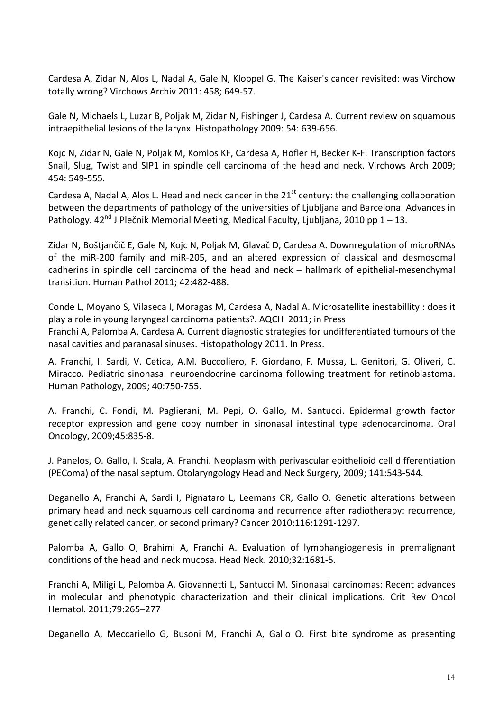Cardesa A, Zidar N, Alos L, Nadal A, Gale N, Kloppel G. The Kaiser's cancer revisited: was Virchow totally wrong? Virchows Archiv 2011: 458; 649-57.

Gale N, Michaels L, Luzar B, Poljak M, Zidar N, Fishinger J, Cardesa A. Current review on squamous intraepithelial lesions of the larynx. Histopathology 2009: 54: 639-656.

Kojc N, Zidar N, Gale N, Poljak M, Komlos KF, Cardesa A, Höfler H, Becker K-F. Transcription factors Snail, Slug, Twist and SIP1 in spindle cell carcinoma of the head and neck. Virchows Arch 2009; 454: 549-555.

Cardesa A, Nadal A, Alos L. Head and neck cancer in the  $21<sup>st</sup>$  century: the challenging collaboration between the departments of pathology of the universities of Ljubljana and Barcelona. Advances in Pathology.  $42^{nd}$  J Plečnik Memorial Meeting, Medical Faculty, Ljubljana, 2010 pp 1 – 13.

Zidar N, Boštjančič E, Gale N, Kojc N, Poljak M, Glavač D, Cardesa A. Downregulation of microRNAs of the miR-200 family and miR-205, and an altered expression of classical and desmosomal cadherins in spindle cell carcinoma of the head and neck – hallmark of epithelial-mesenchymal transition. Human Pathol 2011; 42:482-488.

Conde L, Moyano S, Vilaseca I, Moragas M, Cardesa A, Nadal A. Microsatellite inestabillity : does it play a role in young laryngeal carcinoma patients?. AQCH 2011; in Press Franchi A, Palomba A, Cardesa A. Current diagnostic strategies for undifferentiated tumours of the nasal cavities and paranasal sinuses. Histopathology 2011. In Press.

A. Franchi, I. Sardi, V. Cetica, A.M. Buccoliero, F. Giordano, F. Mussa, L. Genitori, G. Oliveri, C. Miracco. Pediatric sinonasal neuroendocrine carcinoma following treatment for retinoblastoma. Human Pathology, 2009; 40:750-755.

A. Franchi, C. Fondi, M. Paglierani, M. Pepi, O. Gallo, M. Santucci. Epidermal growth factor receptor expression and gene copy number in sinonasal intestinal type adenocarcinoma. Oral Oncology, 2009;45:835-8. 

J. Panelos, O. Gallo, I. Scala, A. Franchi. Neoplasm with perivascular epithelioid cell differentiation (PEComa) of the nasal septum. Otolaryngology Head and Neck Surgery, 2009; 141:543-544.

Deganello A, Franchi A, Sardi I, Pignataro L, Leemans CR, Gallo O. Genetic alterations between primary head and neck squamous cell carcinoma and recurrence after radiotherapy: recurrence, genetically related cancer, or second primary? Cancer 2010;116:1291-1297.

Palomba A, Gallo O, Brahimi A, Franchi A. Evaluation of lymphangiogenesis in premalignant conditions of the head and neck mucosa. Head Neck. 2010;32:1681-5.

Franchi A, Miligi L, Palomba A, Giovannetti L, Santucci M. Sinonasal carcinomas: Recent advances in molecular and phenotypic characterization and their clinical implications. Crit Rev Oncol Hematol. 2011;79:265–277

Deganello A, Meccariello G, Busoni M, Franchi A, Gallo O. First bite syndrome as presenting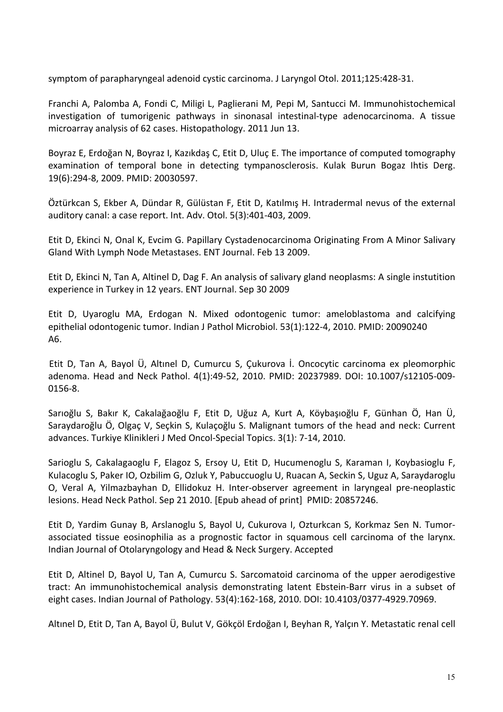symptom of parapharyngeal adenoid cystic carcinoma. J Laryngol Otol. 2011;125:428-31.

Franchi A, Palomba A, Fondi C, Miligi L, Paglierani M, Pepi M, Santucci M. Immunohistochemical investigation of tumorigenic pathways in sinonasal intestinal-type adenocarcinoma. A tissue microarray analysis of 62 cases. Histopathology. 2011 Jun 13.

Boyraz E, Erdoğan N, Boyraz I, Kazıkdaş C, Etit D, Uluc E. The importance of computed tomography examination of temporal bone in detecting tympanosclerosis. Kulak Burun Bogaz Ihtis Derg. 19(6):294-8, 2009. PMID: 20030597.

Öztürkcan S, Ekber A, Dündar R, Gülüstan F, Etit D, Katılmış H. Intradermal nevus of the external auditory canal: a case report. Int. Adv. Otol. 5(3):401-403, 2009.

Etit D, Ekinci N, Onal K, Evcim G. Papillary Cystadenocarcinoma Originating From A Minor Salivary Gland With Lymph Node Metastases. ENT Journal. Feb 13 2009.

Etit D, Ekinci N, Tan A, Altinel D, Dag F. An analysis of salivary gland neoplasms: A single instutition experience in Turkey in 12 years. ENT Journal. Sep 30 2009

Etit D, Uyaroglu MA, Erdogan N. Mixed odontogenic tumor: ameloblastoma and calcifying epithelial odontogenic tumor. Indian J Pathol Microbiol. 53(1):122-4, 2010. PMID: 20090240 A6.

Etit D, Tan A, Bayol Ü, Altınel D, Cumurcu S, Çukurova İ. Oncocytic carcinoma ex pleomorphic adenoma. Head and Neck Pathol. 4(1):49-52, 2010. PMID: 20237989. DOI: 10.1007/s12105-009-0156-8.

Sarıoğlu S, Bakır K, Cakalağaoğlu F, Etit D, Uğuz A, Kurt A, Köybaşıoğlu F, Günhan Ö, Han Ü, Saraydaroğlu Ö, Olgaç V, Seçkin S, Kulaçoğlu S. Malignant tumors of the head and neck: Current advances. Turkiye Klinikleri J Med Oncol-Special Topics. 3(1): 7-14, 2010.

Sarioglu S, Cakalagaoglu F, Elagoz S, Ersoy U, Etit D, Hucumenoglu S, Karaman I, Koybasioglu F, Kulacoglu S, Paker IO, Ozbilim G, Ozluk Y, Pabuccuoglu U, Ruacan A, Seckin S, Uguz A, Saraydaroglu O, Veral A, Yilmazbayhan D, Ellidokuz H. Inter-observer agreement in laryngeal pre-neoplastic lesions. Head Neck Pathol. Sep 21 2010. [Epub ahead of print] PMID: 20857246.

Etit D, Yardim Gunay B, Arslanoglu S, Bayol U, Cukurova I, Ozturkcan S, Korkmaz Sen N. Tumorassociated tissue eosinophilia as a prognostic factor in squamous cell carcinoma of the larynx. Indian Journal of Otolaryngology and Head & Neck Surgery. Accepted

Etit D, Altinel D, Bayol U, Tan A, Cumurcu S. Sarcomatoid carcinoma of the upper aerodigestive tract: An immunohistochemical analysis demonstrating latent Ebstein-Barr virus in a subset of eight cases. Indian Journal of Pathology. 53(4):162-168, 2010. DOI: 10.4103/0377-4929.70969.

Altınel D, Etit D, Tan A, Bayol Ü, Bulut V, Gökçöl Erdoğan I, Beyhan R, Yalçın Y. Metastatic renal cell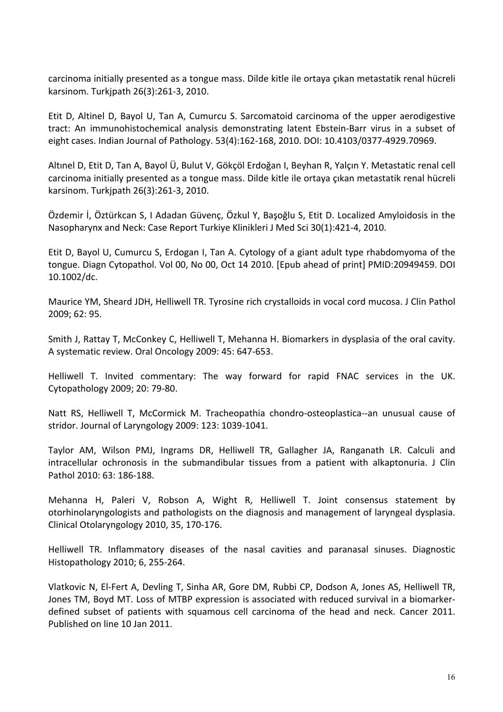carcinoma initially presented as a tongue mass. Dilde kitle ile ortaya çıkan metastatik renal hücreli karsinom. Turkipath 26(3):261-3, 2010.

Etit D, Altinel D, Bayol U, Tan A, Cumurcu S. Sarcomatoid carcinoma of the upper aerodigestive tract: An immunohistochemical analysis demonstrating latent Ebstein-Barr virus in a subset of eight cases. Indian Journal of Pathology. 53(4):162-168, 2010. DOI: 10.4103/0377-4929.70969.

Altınel D, Etit D, Tan A, Bayol Ü, Bulut V, Gökçöl Erdoğan I, Beyhan R, Yalçın Y. Metastatic renal cell carcinoma initially presented as a tongue mass. Dilde kitle ile ortaya çıkan metastatik renal hücreli karsinom. Turkjpath 26(3):261-3, 2010.

Özdemir İ, Öztürkcan S, I Adadan Güvenç, Özkul Y, Başoğlu S, Etit D. Localized Amyloidosis in the Nasopharynx and Neck: Case Report Turkiye Klinikleri J Med Sci 30(1):421-4, 2010.

Etit D, Bayol U, Cumurcu S, Erdogan I, Tan A. Cytology of a giant adult type rhabdomyoma of the tongue. Diagn Cytopathol. Vol 00, No 00, Oct 14 2010. [Epub ahead of print] PMID:20949459. DOI 10.1002/dc.

Maurice YM, Sheard JDH, Helliwell TR. Tyrosine rich crystalloids in yocal cord mucosa. J Clin Pathol 2009; 62: 95. 

Smith J, Rattay T, McConkey C, Helliwell T, Mehanna H. Biomarkers in dysplasia of the oral cavity. A systematic review. Oral Oncology 2009: 45: 647-653.

Helliwell T. Invited commentary: The way forward for rapid FNAC services in the UK. Cytopathology 2009; 20: 79-80.

Natt RS, Helliwell T, McCormick M. Tracheopathia chondro-osteoplastica--an unusual cause of stridor. Journal of Laryngology 2009: 123: 1039-1041.

Taylor AM, Wilson PMJ, Ingrams DR, Helliwell TR, Gallagher JA, Ranganath LR. Calculi and intracellular ochronosis in the submandibular tissues from a patient with alkaptonuria. J Clin Pathol 2010: 63: 186-188.

Mehanna H, Paleri V, Robson A, Wight R, Helliwell T. Joint consensus statement by otorhinolaryngologists and pathologists on the diagnosis and management of laryngeal dysplasia. Clinical Otolaryngology 2010, 35, 170-176.

Helliwell TR. Inflammatory diseases of the nasal cavities and paranasal sinuses. Diagnostic Histopathology 2010; 6, 255-264.

Vlatkovic N, El-Fert A, Devling T, Sinha AR, Gore DM, Rubbi CP, Dodson A, Jones AS, Helliwell TR, Jones TM, Boyd MT. Loss of MTBP expression is associated with reduced survival in a biomarkerdefined subset of patients with squamous cell carcinoma of the head and neck. Cancer 2011. Published on line 10 Jan 2011.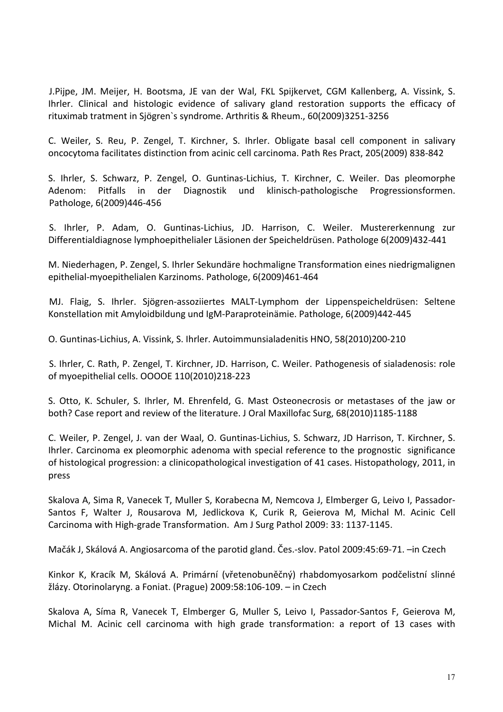J.Pijpe, JM. Meijer, H. Bootsma, JE van der Wal, FKL Spijkervet, CGM Kallenberg, A. Vissink, S. Ihrler. Clinical and histologic evidence of salivary gland restoration supports the efficacy of rituximab tratment in Sjögren`s syndrome. Arthritis & Rheum., 60(2009)3251-3256

C. Weiler, S. Reu, P. Zengel, T. Kirchner, S. Ihrler. Obligate basal cell component in salivary oncocytoma facilitates distinction from acinic cell carcinoma. Path Res Pract, 205(2009) 838-842

S. Ihrler, S. Schwarz, P. Zengel, O. Guntinas-Lichius, T. Kirchner, C. Weiler. Das pleomorphe Adenom: Pitfalls in der Diagnostik und klinisch-pathologische Progressionsformen. Pathologe, 6(2009)446-456

S. Ihrler, P. Adam, O. Guntinas-Lichius, JD. Harrison, C. Weiler. Mustererkennung zur Differentialdiagnose lymphoepithelialer Läsionen der Speicheldrüsen. Pathologe 6(2009)432-441

M. Niederhagen, P. Zengel, S. Ihrler Sekundäre hochmaligne Transformation eines niedrigmalignen epithelial-myoepithelialen Karzinoms. Pathologe, 6(2009)461-464

MJ. Flaig, S. Ihrler. Sjögren-assoziiertes MALT-Lymphom der Lippenspeicheldrüsen: Seltene Konstellation mit Amyloidbildung und IgM-Paraproteinämie. Pathologe, 6(2009)442-445

O. Guntinas-Lichius, A. Vissink, S. Ihrler. Autoimmunsialadenitis HNO, 58(2010)200-210

S. Ihrler, C. Rath, P. Zengel, T. Kirchner, JD. Harrison, C. Weiler. Pathogenesis of sialadenosis: role of myoepithelial cells. OOOOE 110(2010)218-223

S. Otto, K. Schuler, S. Ihrler, M. Ehrenfeld, G. Mast Osteonecrosis or metastases of the jaw or both? Case report and review of the literature. J Oral Maxillofac Surg, 68(2010)1185-1188

C. Weiler, P. Zengel, J. van der Waal, O. Guntinas-Lichius, S. Schwarz, JD Harrison, T. Kirchner, S. Ihrler. Carcinoma ex pleomorphic adenoma with special reference to the prognostic significance of histological progression: a clinicopathological investigation of 41 cases. Histopathology, 2011, in press

Skalova A, Sima R, Vanecek T, Muller S, Korabecna M, Nemcova J, Elmberger G, Leivo I, Passador-Santos F, Walter J, Rousarova M, Jedlickova K, Curik R, Geierova M, Michal M. Acinic Cell Carcinoma with High-grade Transformation. Am J Surg Pathol 2009: 33: 1137-1145.

Mačák J, Skálová A. Angiosarcoma of the parotid gland. Čes.-slov. Patol 2009:45:69-71. –in Czech

Kinkor K, Kracík M, Skálová A. Primární (vřetenobuněčný) rhabdomyosarkom podčelistní slinné žlázy. Otorinolaryng. a Foniat. (Prague) 2009:58:106-109. – in Czech

Skalova A, Síma R, Vanecek T, Elmberger G, Muller S, Leivo I, Passador-Santos F, Geierova M, Michal M. Acinic cell carcinoma with high grade transformation: a report of 13 cases with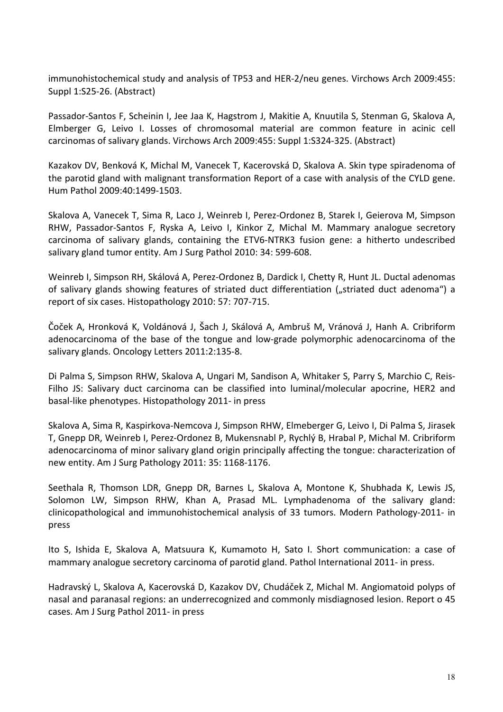immunohistochemical study and analysis of TP53 and HER-2/neu genes. Virchows Arch 2009:455: Suppl 1:S25-26. (Abstract)

Passador-Santos F, Scheinin I, Jee Jaa K, Hagstrom J, Makitie A, Knuutila S, Stenman G, Skalova A, Elmberger G, Leivo I. Losses of chromosomal material are common feature in acinic cell carcinomas of salivary glands. Virchows Arch 2009:455: Suppl 1:S324-325. (Abstract)

Kazakov DV, Benková K, Michal M, Vanecek T, Kacerovská D, Skalova A. Skin type spiradenoma of the parotid gland with malignant transformation Report of a case with analysis of the CYLD gene. Hum Pathol 2009:40:1499-1503.

Skalova A, Vanecek T, Sima R, Laco J, Weinreb I, Perez-Ordonez B, Starek I, Geierova M, Simpson RHW, Passador-Santos F, Ryska A, Leivo I, Kinkor Z, Michal M. Mammary analogue secretory carcinoma of salivary glands, containing the ETV6-NTRK3 fusion gene: a hitherto undescribed salivary gland tumor entity. Am J Surg Pathol 2010: 34: 599-608.

Weinreb I, Simpson RH, Skálová A, Perez-Ordonez B, Dardick I, Chetty R, Hunt JL. Ductal adenomas of salivary glands showing features of striated duct differentiation ("striated duct adenoma") a report of six cases. Histopathology 2010: 57: 707-715.

Čoček A, Hronková K, Voldánová J, Šach J, Skálová A, Ambruš M, Vránová J, Hanh A. Cribriform adenocarcinoma of the base of the tongue and low-grade polymorphic adenocarcinoma of the salivary glands. Oncology Letters 2011:2:135-8.

Di Palma S, Simpson RHW, Skalova A, Ungari M, Sandison A, Whitaker S, Parry S, Marchio C, Reis-Filho JS: Salivary duct carcinoma can be classified into luminal/molecular apocrine, HER2 and basal-like phenotypes. Histopathology 2011- in press

Skalova A, Sima R, Kaspirkova-Nemcova J, Simpson RHW, Elmeberger G, Leivo I, Di Palma S, Jirasek T, Gnepp DR, Weinreb I, Perez-Ordonez B, Mukensnabl P, Rychlý B, Hrabal P, Michal M. Cribriform adenocarcinoma of minor salivary gland origin principally affecting the tongue: characterization of new entity. Am J Surg Pathology 2011: 35: 1168-1176.

Seethala R, Thomson LDR, Gnepp DR, Barnes L, Skalova A, Montone K, Shubhada K, Lewis JS, Solomon LW, Simpson RHW, Khan A, Prasad ML. Lymphadenoma of the salivary gland: clinicopathological and immunohistochemical analysis of 33 tumors. Modern Pathology-2011- in press

Ito S, Ishida E, Skalova A, Matsuura K, Kumamoto H, Sato I. Short communication: a case of mammary analogue secretory carcinoma of parotid gland. Pathol International 2011- in press.

Hadravský L, Skalova A, Kacerovská D, Kazakov DV, Chudáček Z, Michal M. Angiomatoid polyps of nasal and paranasal regions: an underrecognized and commonly misdiagnosed lesion. Report o 45 cases. Am J Surg Pathol 2011- in press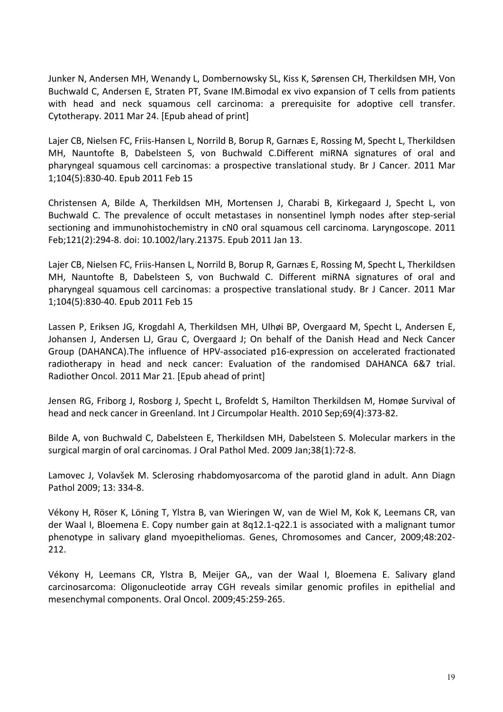Junker N, Andersen MH, Wenandy L, Dombernowsky SL, Kiss K, Sørensen CH, Therkildsen MH, Von Buchwald C, Andersen E, Straten PT, Svane IM.Bimodal ex vivo expansion of T cells from patients with head and neck squamous cell carcinoma: a prerequisite for adoptive cell transfer. Cytotherapy. 2011 Mar 24. [Epub ahead of print]

Lajer CB, Nielsen FC, Friis-Hansen L, Norrild B, Borup R, Garnæs E, Rossing M, Specht L, Therkildsen MH, Nauntofte B, Dabelsteen S, von Buchwald C.Different miRNA signatures of oral and pharyngeal squamous cell carcinomas: a prospective translational study. Br J Cancer. 2011 Mar 1;104(5):830-40. Epub 2011 Feb 15

Christensen A, Bilde A, Therkildsen MH, Mortensen J, Charabi B, Kirkegaard J, Specht L, von Buchwald C. The prevalence of occult metastases in nonsentinel lymph nodes after step-serial sectioning and immunohistochemistry in cN0 oral squamous cell carcinoma. Laryngoscope. 2011 Feb;121(2):294-8. doi: 10.1002/lary.21375. Epub 2011 Jan 13.

Lajer CB, Nielsen FC, Friis-Hansen L, Norrild B, Borup R, Garnæs E, Rossing M, Specht L, Therkildsen MH, Nauntofte B, Dabelsteen S, von Buchwald C. Different miRNA signatures of oral and pharyngeal squamous cell carcinomas: a prospective translational study. Br J Cancer. 2011 Mar 1;104(5):830-40. Epub 2011 Feb 15

Lassen P, Eriksen JG, Krogdahl A, Therkildsen MH, Ulhøi BP, Overgaard M, Specht L, Andersen E, Johansen J, Andersen LJ, Grau C, Overgaard J; On behalf of the Danish Head and Neck Cancer Group (DAHANCA).The influence of HPV-associated p16-expression on accelerated fractionated radiotherapy in head and neck cancer: Evaluation of the randomised DAHANCA 6&7 trial. Radiother Oncol. 2011 Mar 21. [Epub ahead of print]

Jensen RG, Friborg J, Rosborg J, Specht L, Brofeldt S, Hamilton Therkildsen M, Homøe Survival of head and neck cancer in Greenland. Int J Circumpolar Health. 2010 Sep;69(4):373-82.

Bilde A, von Buchwald C, Dabelsteen E, Therkildsen MH, Dabelsteen S. Molecular markers in the surgical margin of oral carcinomas. J Oral Pathol Med. 2009 Jan;38(1):72-8.

Lamovec J, Volavšek M. Sclerosing rhabdomyosarcoma of the parotid gland in adult. Ann Diagn Pathol 2009; 13: 334-8.

Vékony H, Röser K, Löning T, Ylstra B, van Wieringen W, van de Wiel M, Kok K, Leemans CR, van der Waal I, Bloemena E. Copy number gain at  $8q12.1-q22.1$  is associated with a malignant tumor phenotype in salivary gland myoepitheliomas. Genes, Chromosomes and Cancer, 2009;48:202-212.

Vékony H, Leemans CR, Ylstra B, Meijer GA,, van der Waal I, Bloemena E. Salivary gland carcinosarcoma: Oligonucleotide array CGH reveals similar genomic profiles in epithelial and mesenchymal components. Oral Oncol. 2009;45:259-265.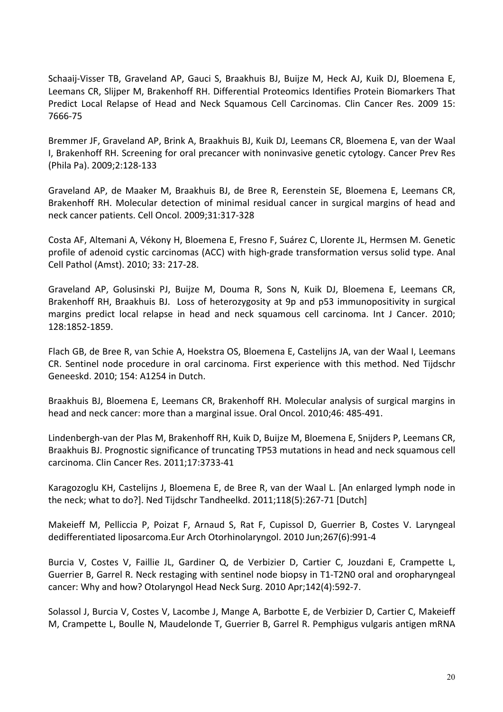Schaaij-Visser TB, Graveland AP, Gauci S, Braakhuis BJ, Buijze M, Heck AJ, Kuik DJ, Bloemena E, Leemans CR, Slijper M, Brakenhoff RH. Differential Proteomics Identifies Protein Biomarkers That Predict Local Relapse of Head and Neck Squamous Cell Carcinomas. Clin Cancer Res. 2009 15: 7666-75

Bremmer JF, Graveland AP, Brink A, Braakhuis BJ, Kuik DJ, Leemans CR, Bloemena E, van der Waal I. Brakenhoff RH. Screening for oral precancer with noninvasive genetic cytology. Cancer Prev Res (Phila Pa). 2009;2:128-133

Graveland AP, de Maaker M, Braakhuis BJ, de Bree R, Eerenstein SE, Bloemena E, Leemans CR, Brakenhoff RH. Molecular detection of minimal residual cancer in surgical margins of head and neck cancer patients. Cell Oncol. 2009;31:317-328

Costa AF, Altemani A, Vékony H, Bloemena E, Fresno F, Suárez C, Llorente JL, Hermsen M. Genetic profile of adenoid cystic carcinomas (ACC) with high-grade transformation versus solid type. Anal Cell Pathol (Amst). 2010; 33: 217-28.

Graveland AP, Golusinski PJ, Buijze M, Douma R, Sons N, Kuik DJ, Bloemena E, Leemans CR, Brakenhoff RH, Braakhuis BJ. Loss of heterozygosity at 9p and p53 immunopositivity in surgical margins predict local relapse in head and neck squamous cell carcinoma. Int J Cancer. 2010; 128:1852-1859.

Flach GB, de Bree R, van Schie A, Hoekstra OS, Bloemena E, Castelijns JA, van der Waal I, Leemans CR. Sentinel node procedure in oral carcinoma. First experience with this method. Ned Tijdschr Geneeskd. 2010; 154: A1254 in Dutch.

Braakhuis BJ, Bloemena E, Leemans CR, Brakenhoff RH. Molecular analysis of surgical margins in head and neck cancer: more than a marginal issue. Oral Oncol. 2010;46: 485-491.

Lindenbergh-van der Plas M, Brakenhoff RH, Kuik D, Buijze M, Bloemena E, Snijders P, Leemans CR, Braakhuis BJ. Prognostic significance of truncating TP53 mutations in head and neck squamous cell carcinoma. Clin Cancer Res. 2011;17:3733-41

Karagozoglu KH, Castelijns J, Bloemena E, de Bree R, van der Waal L. [An enlarged lymph node in the neck; what to do?]. Ned Tijdschr Tandheelkd. 2011;118(5):267-71 [Dutch]

Makeieff M, Pelliccia P, Poizat F, Arnaud S, Rat F, Cupissol D, Guerrier B, Costes V. Laryngeal dedifferentiated liposarcoma.Eur Arch Otorhinolaryngol. 2010 Jun;267(6):991-4

Burcia V, Costes V, Faillie JL, Gardiner Q, de Verbizier D, Cartier C, Jouzdani E, Crampette L, Guerrier B, Garrel R. Neck restaging with sentinel node biopsy in T1-T2N0 oral and oropharyngeal cancer: Why and how? Otolaryngol Head Neck Surg. 2010 Apr;142(4):592-7.

Solassol J, Burcia V, Costes V, Lacombe J, Mange A, Barbotte E, de Verbizier D, Cartier C, Makeieff M, Crampette L, Boulle N, Maudelonde T, Guerrier B, Garrel R. Pemphigus vulgaris antigen mRNA